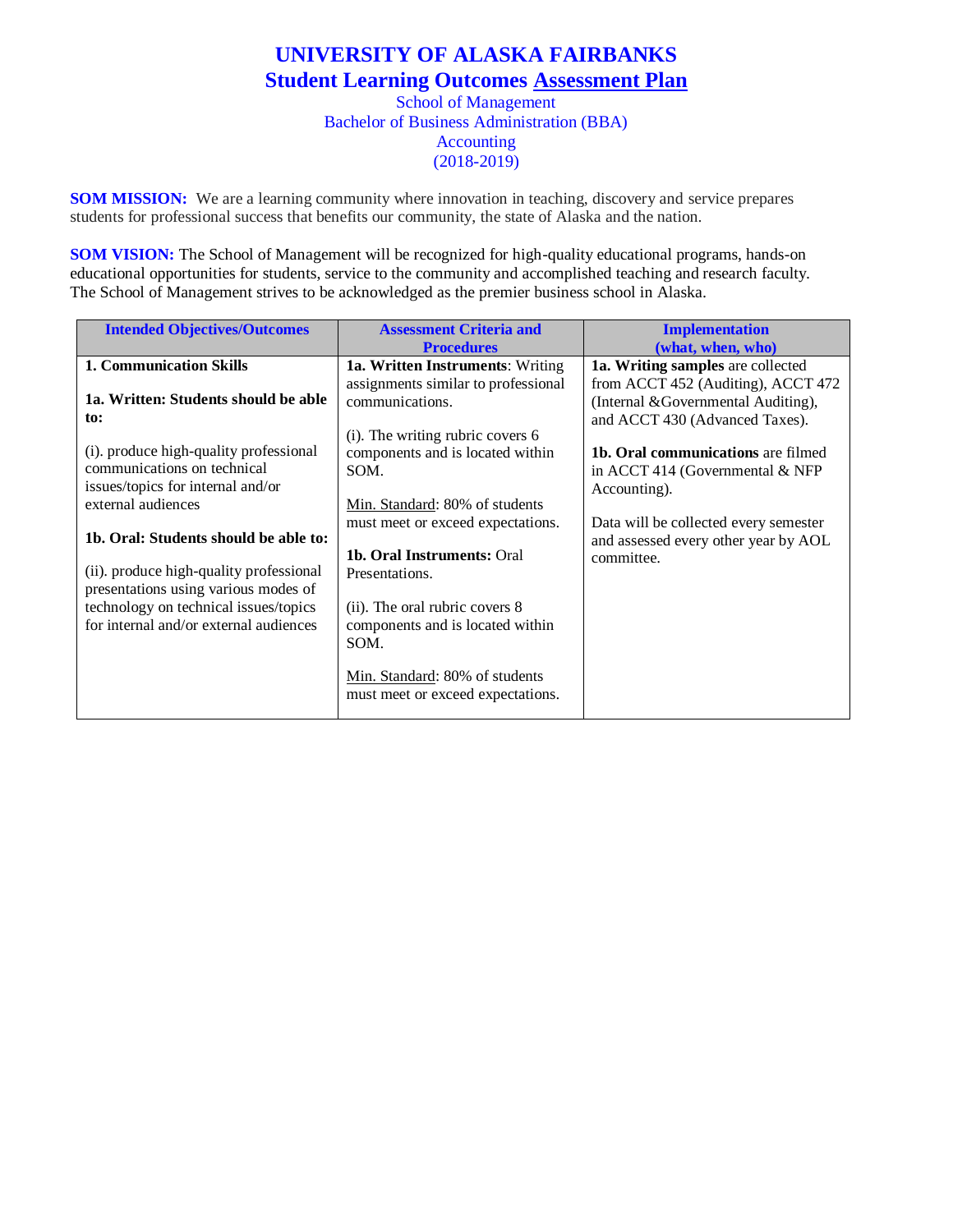## **UNIVERSITY OF ALASKA FAIRBANKS Student Learning Outcomes Assessment Plan** School of Management Bachelor of Business Administration (BBA) Accounting

(2018-2019)

**SOM MISSION:** We are a learning community where innovation in teaching, discovery and service prepares students for professional success that benefits our community, the state of Alaska and the nation.

**SOM VISION:** The School of Management will be recognized for high-quality educational programs, hands-on educational opportunities for students, service to the community and accomplished teaching and research faculty. The School of Management strives to be acknowledged as the premier business school in Alaska.

| <b>Intended Objectives/Outcomes</b>     | <b>Assessment Criteria and</b>      | <b>Implementation</b>                     |
|-----------------------------------------|-------------------------------------|-------------------------------------------|
|                                         | <b>Procedures</b>                   | (what, when, who)                         |
| <b>1. Communication Skills</b>          | 1a. Written Instruments: Writing    | 1a. Writing samples are collected         |
|                                         | assignments similar to professional | from ACCT 452 (Auditing), ACCT 472        |
| 1a. Written: Students should be able    | communications.                     | (Internal & Governmental Auditing),       |
| to:                                     |                                     | and ACCT 430 (Advanced Taxes).            |
|                                         | $(i)$ . The writing rubric covers 6 |                                           |
| (i). produce high-quality professional  | components and is located within    | <b>1b. Oral communications</b> are filmed |
| communications on technical             | SOM.                                | in ACCT 414 (Governmental & NFP           |
| issues/topics for internal and/or       |                                     | Accounting).                              |
| external audiences                      | Min. Standard: 80% of students      |                                           |
|                                         | must meet or exceed expectations.   | Data will be collected every semester     |
| 1b. Oral: Students should be able to:   |                                     | and assessed every other year by AOL      |
|                                         | <b>1b. Oral Instruments: Oral</b>   | committee.                                |
| (ii). produce high-quality professional | Presentations.                      |                                           |
| presentations using various modes of    |                                     |                                           |
| technology on technical issues/topics   | (ii). The oral rubric covers 8      |                                           |
| for internal and/or external audiences  | components and is located within    |                                           |
|                                         | SOM.                                |                                           |
|                                         |                                     |                                           |
|                                         | Min. Standard: 80% of students      |                                           |
|                                         | must meet or exceed expectations.   |                                           |
|                                         |                                     |                                           |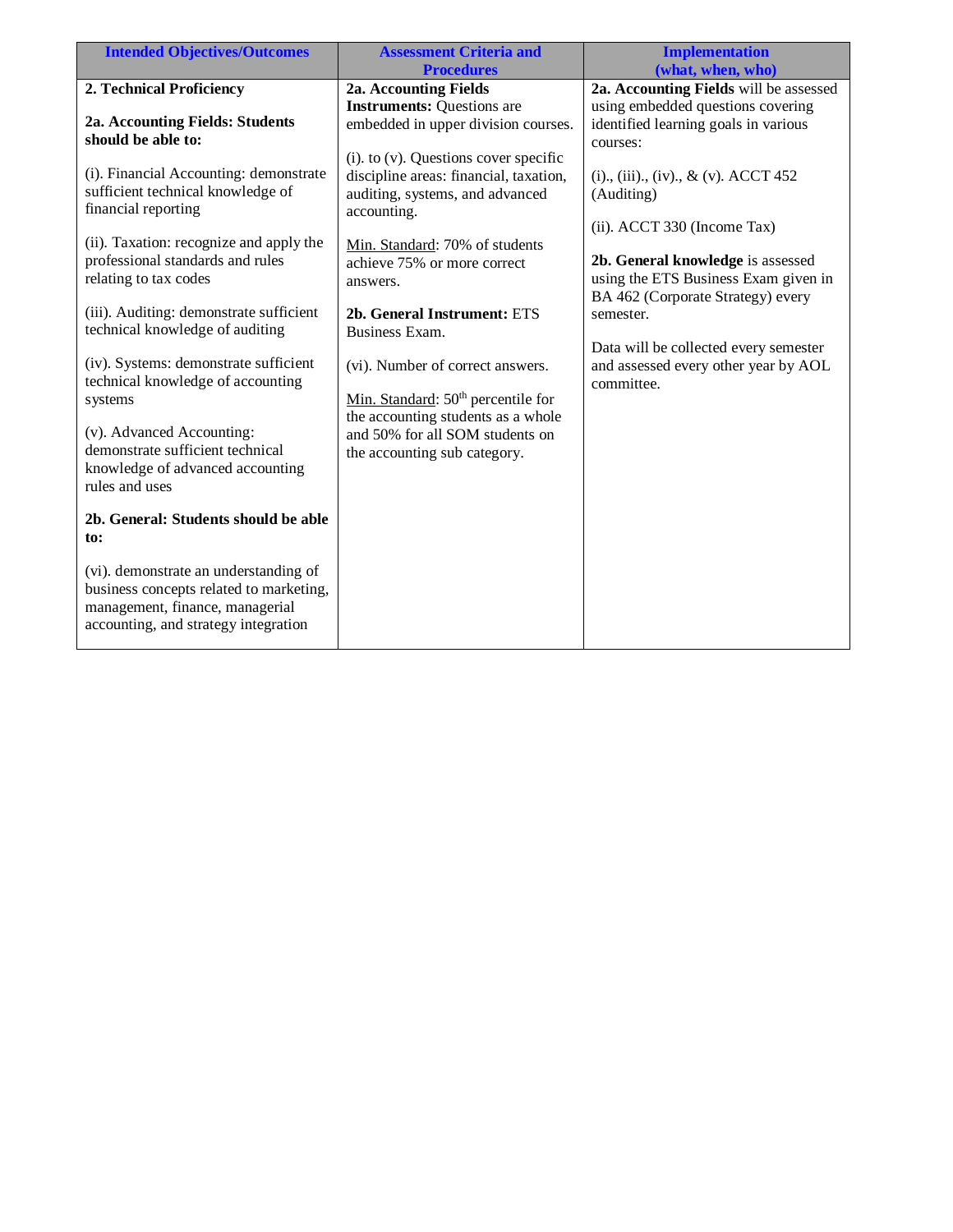| <b>Intended Objectives/Outcomes</b>                      | <b>Assessment Criteria and</b>                                | <b>Implementation</b>                             |
|----------------------------------------------------------|---------------------------------------------------------------|---------------------------------------------------|
|                                                          | <b>Procedures</b>                                             | (what, when, who)                                 |
| 2. Technical Proficiency                                 | 2a. Accounting Fields                                         | 2a. Accounting Fields will be assessed            |
|                                                          | <b>Instruments: Questions are</b>                             | using embedded questions covering                 |
| 2a. Accounting Fields: Students                          | embedded in upper division courses.                           | identified learning goals in various              |
| should be able to:                                       |                                                               | courses:                                          |
|                                                          | $(i)$ . to $(v)$ . Questions cover specific                   |                                                   |
| (i). Financial Accounting: demonstrate                   | discipline areas: financial, taxation,                        | $(i)$ ., $(iii)$ ., $(iv)$ ., $\& (v)$ . ACCT 452 |
| sufficient technical knowledge of<br>financial reporting | auditing, systems, and advanced                               | (Auditing)                                        |
|                                                          | accounting.                                                   |                                                   |
| (ii). Taxation: recognize and apply the                  |                                                               | (ii). ACCT 330 (Income Tax)                       |
| professional standards and rules                         | Min. Standard: 70% of students<br>achieve 75% or more correct | 2b. General knowledge is assessed                 |
| relating to tax codes                                    |                                                               | using the ETS Business Exam given in              |
|                                                          | answers.                                                      | BA 462 (Corporate Strategy) every                 |
| (iii). Auditing: demonstrate sufficient                  | 2b. General Instrument: ETS                                   | semester.                                         |
| technical knowledge of auditing                          | Business Exam.                                                |                                                   |
|                                                          |                                                               | Data will be collected every semester             |
| (iv). Systems: demonstrate sufficient                    | (vi). Number of correct answers.                              | and assessed every other year by AOL              |
| technical knowledge of accounting                        |                                                               | committee.                                        |
| systems                                                  | Min. Standard: $50th$ percentile for                          |                                                   |
|                                                          | the accounting students as a whole                            |                                                   |
| (v). Advanced Accounting:                                | and 50% for all SOM students on                               |                                                   |
| demonstrate sufficient technical                         | the accounting sub category.                                  |                                                   |
| knowledge of advanced accounting                         |                                                               |                                                   |
| rules and uses                                           |                                                               |                                                   |
|                                                          |                                                               |                                                   |
| 2b. General: Students should be able                     |                                                               |                                                   |
| to:                                                      |                                                               |                                                   |
| (vi). demonstrate an understanding of                    |                                                               |                                                   |
| business concepts related to marketing,                  |                                                               |                                                   |
| management, finance, managerial                          |                                                               |                                                   |
| accounting, and strategy integration                     |                                                               |                                                   |
|                                                          |                                                               |                                                   |